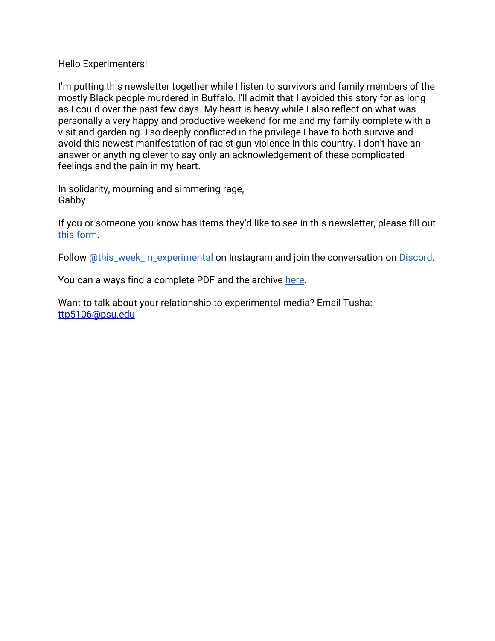Hello Experimenters!

I'm putting this newsletter together while I listen to survivors and family members of the mostly Black people murdered in Buffalo. I'll admit that I avoided this story for as long as I could over the past few days. My heart is heavy while I also reflect on what was personally a very happy and productive weekend for me and my family complete with a visit and gardening. I so deeply conflicted in the privilege I have to both survive and avoid this newest manifestation of racist gun violence in this country. I don't have an answer or anything clever to say only an acknowledgement of these complicated feelings and the pain in my heart.

In solidarity, mourning and simmering rage, Gabby

If you or someone you know has items they'd like to see in this newsletter, please fill out [this form.](https://forms.gle/aAtxrz2GTLAHzxNt7)

Follow [@this\\_week\\_in\\_experimental](https://www.instagram.com/this_week_in_experimental/) on Instagram and join the conversation on [Discord.](https://discord.gg/7dtZfbgemg)

You can always find a complete PDF and the archive [here.](https://www.gfollettsumney.com/this-week-in-experimental.html)

Want to talk about your relationship to experimental media? Email Tusha: [ttp5106@psu.edu](mailto:ttp5106@psu.edu)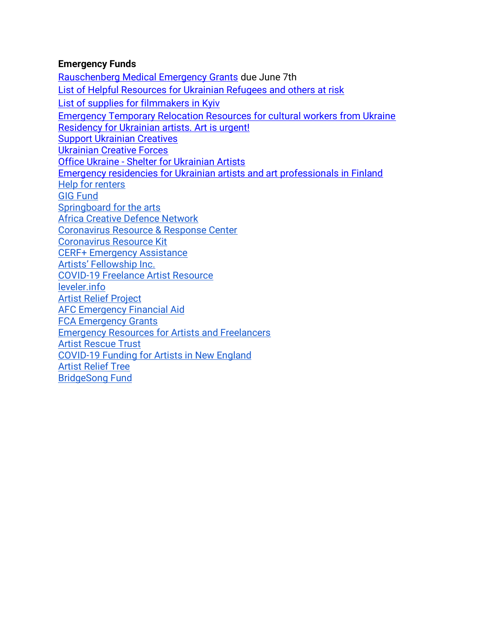#### **Emergency Funds**

[Rauschenberg Medical Emergency Grants](https://www.nyfa.org/awards-grants/rauschenberg-medical-emergency-grants/) due June 7th [List of Helpful Resources for Ukrainian Refugees and others at risk](http://oberliht.org/wp-content/uploads/2022/03/List-of-Helpful-Resources-for-Ukrainian-Refugees-and-others-at-risk.pdf) [List of supplies for filmmakers in Kyiv](https://docs.google.com/spreadsheets/d/1AoxkubXX1NVaAONJ27CwAndJxx8GvvYrQqswYYZMqIM/edit#gid=0) [Emergency Temporary Relocation Resources for cultural workers from Ukraine](https://docs.google.com/document/d/1zDP7jpiRj6M_NCTxY5P6A3IDjSaHLSvIsri-Vzb-A7g/edit?usp=sharing) [Residency for Ukrainian artists. Art is urgent!](https://www.karnekunst.com/residency-for-ukrainian-artists-art-is-urgent/?fbclid=IwAR0XUXSiEYd8vKiTfJ1DJI1wZcT59YWVjuCPfsMhwcfd6HkoCEU37pXJDKs) [Support Ukrainian Creatives](https://docs.google.com/forms/d/e/1FAIpQLSc3vkx2iqH45Zl1aaNvlfVrLzf9I5is0vqAs0FZjoQWm-9IHw/viewform?fbclid=IwAR3VtgnvRUgF4VeKuelLqAfBoapxZZDtM157yV-WuKDkumi-qwaq_xqURfk) [Ukrainian Creative Forces](https://docs.google.com/forms/d/e/1FAIpQLSeMw87Reqj7ZlHyZxEf4cfZHgX5P5CLtjCY4LxujRheZRxzVQ/viewform) Office Ukraine - [Shelter for Ukrainian Artists](https://www.bmkoes.gv.at/Kunst-und-Kultur/Neuigkeiten/Office-Ukraine.html) [Emergency residencies for Ukrainian artists and art professionals in Finland](https://koneensaatio.fi/en/news/emergency-residencies/) [Help for renters](https://www.consumerfinance.gov/coronavirus/mortgage-and-housing-assistance/renter-protections/#rental-assistance) [GIG Fund](https://www.artsmidwest.org/programs/gigfund) [Springboard for the arts](https://springboardforthearts.org/coronavirus/) [Africa Creative Defence Network](https://artistsatriskconnection.org/story/amani-africa-creative-defence-network) [Coronavirus Resource & Response Center](https://www.americansforthearts.org/by-topic/disaster-preparedness/coronavirus-covid-19-resource-and-response-center#impact) [Coronavirus Resource Kit](https://docs.google.com/document/u/1/d/1Rcan4C_e6OBFBI5bUn7MtYK74Ab-WarxyJmDvZUI_YA/mobilebasic?urp=gmail_link) [CERF+ Emergency Assistance](https://cerfplus.org/get-relief/apply-for-help/craft-emergency-relief-fund/) [Artists' Fellowship Inc.](https://www.artistsfellowship.org/financial-aid-application) [COVID-19 Freelance Artist Resource](https://www.freelanceartistresource.com/) [leveler.info](https://www.leveler.info/) [Artist Relief Project](https://artistreliefproject.org/request_funding/) [AFC Emergency Financial Aid](https://afchelps.ca/covid-19-guide/) [FCA Emergency Grants](https://www.foundationforcontemporaryarts.org/grants/emergency-grants/) [Emergency Resources for Artists and Freelancers](https://docs.google.com/document/d/1xv238DlW_9HWhJTHr561r8fPaD4BSzOZraDOm2ESyeA/edit) [Artist Rescue Trust](https://artistrescue.org/?fbclid=IwAR2V26dcrdrAzARHGEgfMoo7ftKVU1vXh6pY_PJBAQAPeLo1IsgghDDUU0I) [COVID-19 Funding for Artists in New England](https://newenglandfilm.com/magazine/2020/04/covid-19-funding-for-artists-in-new-england) [Artist Relief Tree](https://artistrelieftree.com/helpful-resources/) [BridgeSong Fund](https://docs.google.com/forms/d/1yRXi5ehvyoJPXKmTx4tAfKU8agpoLHbW2Y-6MYT51eA/viewform?ts=5e7bf119&edit_requested=true)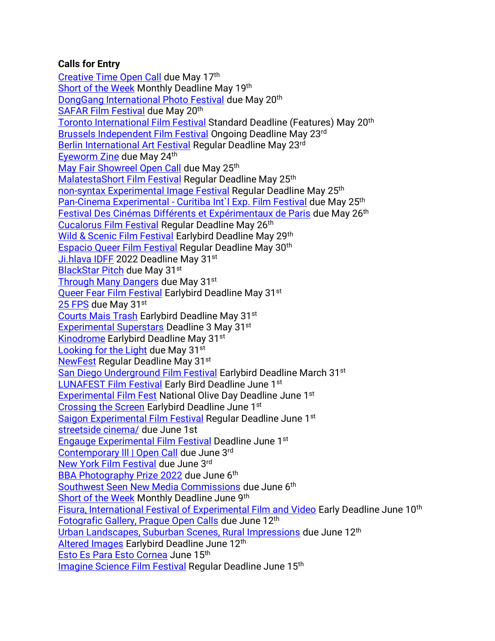## **Calls for Entry**

[Creative Time Open Call](https://creativetime.submittable.com/submit/223751/creative-time-open-call-for-artists-2022-2023) due May 17th [Short of the Week](https://filmfreeway.com/shortoftheweek) Monthly Deadline May 19th [DongGang International Photo Festival](https://www.dgphotofestival.com/2022dipfopencall) due May 20th [SAFAR Film Festival](https://www.arabbritishcentre.org.uk/media/safar-futures-open-call-for-short-films/) due May 20<sup>th</sup> [Toronto International Film Festival](https://filmfreeway.com/TIFF?action=show&controller=festivals&utm_campaign=whats_hot&utm_medium=email&utm_source=filmmaker_newsletter) Standard Deadline (Features) May 20<sup>th</sup> [Brussels Independent Film Festival](https://filmfreeway.com/BrusselsFilmFestival) Ongoing Deadline May 23rd [Berlin International Art Festival](https://filmfreeway.com/BerlinMovieAwards) Regular Deadline May 23rd [Eyeworm Zine](https://www.instagram.com/p/Cc6CrkyuLyD/?utm_source=ig_web_copy_link) due May 24<sup>th</sup> [May Fair Showreel Open Call](https://docs.google.com/forms/d/e/1FAIpQLScQZl5rMqX5f6qH4W2vyWAq2TUWiLjU3UfmxYKrMvmKx9uk6A/viewform) due May 25<sup>th</sup> [MalatestaShort Film Festival](https://filmfreeway.com/MalatestaShortFilmFestival?fbclid=IwAR0DfOuptF_QZHhem0z1k8ey0PhOHa1wzPLXLeuM1omZHfu8Y6MplhEuqzU) Regular Deadline May 25th non-syntax [Experimental Image Festival](https://filmfreeway.com/non-syntax) Regular Deadline May 25th Pan-Cinema Experimental - [Curitiba Int`l Exp. Film Festival](https://filmfreeway.com/Pan-CinemaExperimental-CuritibaIntlExpFilmFestival) due May 25<sup>th</sup> [Festival Des Cinémas Différents et Expérimentaux de Paris](https://cjcinema.org/en/call-for-films/fcdep/?fbclid=IwAR3MZUJZkB4YnEWL1YE2PN7yonjB08xSiyg5EC0_TkllklZvTxXQpUJ1uto) due May 26<sup>th</sup> [Cucalorus Film Festival](https://filmfreeway.com/CucalorusFilmFestival) Regular Deadline May 26th [Wild & Scenic Film Festival](https://filmfreeway.com/WildScenicFilmFestival?action=show&controller=festivals&utm_campaign=Recently+Opened+for+Entries&utm_medium=email&utm_source=filmmaker_newsletter) Earlybird Deadline May 29<sup>th</sup> [Espacio Queer Film Festival](https://filmfreeway.com/EspacioQueerFilmFest) Regular Deadline May 30th [Ji.hlava IDFF](https://www.ji-hlava.com/prihlaseni-filmu) 2022 Deadline May 31st [BlackStar Pitch](https://blackstarfest.org/festival/pitch/) due May 31st [Through Many Dangers](https://www.analogforevermagazine.com/calls-for-entry/through-many-dangers-june-2022) due May 31st [Queer Fear Film Festival](https://filmfreeway.com/QueerFearFilmFestival) Earlybird Deadline May 31<sup>st</sup> [25 FPS](https://www.25fps.hr/en/entry-form) due May 31st [Courts Mais Trash](https://filmfreeway.com/CourtsMaisTrash) Earlybird Deadline May 31st [Experimental Superstars](https://filmfreeway.com/ExperimentalSuperstars?fbclid=IwAR2oWQx98KIYyakd42hts_Fwnwq3zhDqmX191M1Bj34bsa9NqihowVkTcFA) Deadline 3 May 31st [Kinodrome](https://filmfreeway.com/KinoDrome) Earlybird Deadline May 31st [Looking for the Light](https://www.photometria.gr/en/contests/photometria-awards/) due May 31<sup>st</sup> [NewFest](https://filmfreeway.com/NewFest) Regular Deadline May 31st [San Diego Underground Film Festival](https://filmfreeway.com/SanDiegoUndergroundFilmFestival) Earlybird Deadline March 31<sup>st</sup> [LUNAFEST Film Festival](https://filmfreeway.com/LUNAFEST?action=show&controller=festivals&utm_campaign=Recently+Opened+for+Entries&utm_medium=email&utm_source=filmmaker_newsletter) Early Bird Deadline June 1<sup>st</sup> [Experimental Film Fest](https://filmfreeway.com/ExperimentalFilmFest?fbclid=IwAR1KwVGbXb1TdLYzemNuM_RyUXq1kqddb_ojRZURnhlX-tY32amcSHllKeU) National Olive Day Deadline June 1<sup>st</sup> [Crossing the Screen](https://filmfreeway.com/Crossingthescreen) Earlybird Deadline June 1st [Saigon Experimental Film Festival](https://filmfreeway.com/SaigonExperimental) Regular Deadline June 1<sup>st</sup> [streetside cinema/](https://filmfreeway.com/streetsidecinema) due June 1st [Engauge Experimental Film Festival](https://filmfreeway.com/EngaugeExperimentalFilmFestival) Deadline June 1st Contemporary III | Open Call due June 3rd [New York Film Festival](https://filmfreeway.com/NYFF) due June 3rd [BBA Photography Prize](https://bba-gallery.com/photography-prize) 2022 due June 6<sup>th</sup> [Southwest Seen New Media Commissions](https://mediacityfilmfestival.com/southwest-seen-commission-exhibition-call-for-proposals/) due June 6th [Short of the Week](https://filmfreeway.com/shortoftheweek) Monthly Deadline June 9th [Fisura, International Festival of Experimental Film and Video](https://filmfreeway.com/FISURAInternationalFilmFestival?fbclid=IwAR3iJlFVGCEMZq9SoP9f2It8A9hMkF3brJlEvHacUSoJ1YVbIluJcsXvulI) Early Deadline June 10th [Fotografic Gallery, Prague Open Calls](https://fotografic.cz/en/open-call/) due June 12th [Urban Landscapes, Suburban Scenes, Rural Impressions](https://www.nyc4pa.com/copy-of-decay-corrosion-rust) due June 12th [Altered Images](https://filmfreeway.com/AlteredImages?fbclid=IwAR303Zuvk4X7G_1Uj2KZ3ltYulh0WNk8vEmUyECj7c3yWiWFRLZatW8JoFI) Earlybird Deadline June 12<sup>th</sup> [Esto Es Para Esto Cornea](https://filmfreeway.com/EstoEsParaEsto) June 15<sup>th</sup> [Imagine Science Film Festival](https://filmfreeway.com/ImagineScienceFilmFestival) Regular Deadline June 15th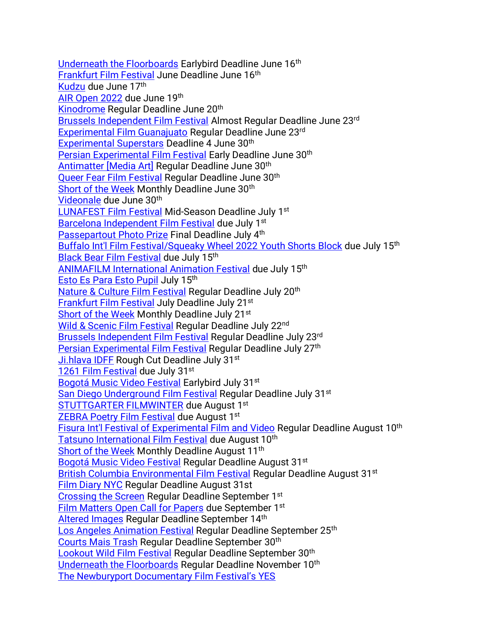[Underneath the Floorboards](https://filmfreeway.com/MyFilmFestival-534726?fbclid=IwAR0F6CZJgpvTHp_1KMibmwE2mM_tddq6w5s8flWPFyNtLPQsW6G4763HPes) Earlybird Deadline June 16th [Frankfurt Film Festival](https://filmfreeway.com/filmfestfrankfurt) June Deadline June 16th [Kudzu](https://sfqp.info/kudcall) due June 17th [AIR Open 2022](https://www.airgallery.space/opencall?fbclid=IwAR22icSQr4srKuwkOHU8IlKdtEYOp-ftks40Gp4wYJbNPRKuOsMp1mQ2PHU) due June 19th [Kinodrome](https://filmfreeway.com/KinoDrome) Regular Deadline June 20<sup>th</sup> [Brussels Independent Film Festival](https://filmfreeway.com/BrusselsFilmFestival) Almost Regular Deadline June 23rd [Experimental Film Guanajuato](https://filmfreeway.com/ExperimentalFilm) Regular Deadline June 23rd [Experimental Superstars](https://filmfreeway.com/ExperimentalSuperstars?fbclid=IwAR2oWQx98KIYyakd42hts_Fwnwq3zhDqmX191M1Bj34bsa9NqihowVkTcFA) Deadline 4 June 30<sup>th</sup> [Persian Experimental Film Festival](https://filmfreeway.com/persianexpfilmfest?fbclid=IwAR3k4gt3qoAHgKUnqPQNOaRgZcOAz9mvau1qG-i78xr5ZVMwJ1v-i4CJUQY) Early Deadline June 30<sup>th</sup> Antimatter [\[Media Art\]](https://filmfreeway.com/AntimatterMediaArt) Regular Deadline June 30th [Queer Fear Film Festival](https://filmfreeway.com/QueerFearFilmFestival) Regular Deadline June 30<sup>th</sup> [Short of the Week](https://filmfreeway.com/shortoftheweek) Monthly Deadline June 30<sup>th</sup> [Videonale](https://v19.videonale.org/en/call) due June 30th [LUNAFEST Film Festival](https://filmfreeway.com/LUNAFEST?action=show&controller=festivals&utm_campaign=Recently+Opened+for+Entries&utm_medium=email&utm_source=filmmaker_newsletter) Mid-Season Deadline July 1st [Barcelona Independent Film Festival](https://alternativa.cccb.org/2022/en/2022-call-for-entries/film-submissions) due July 1<sup>st</sup> [Passepartout Photo Prize](https://www.passepartoutprize.com/about/) Final Deadline July 4th [Buffalo Int'l Film Festival/Squeaky Wheel 2022 Youth Shorts Block](https://docs.google.com/forms/d/e/1FAIpQLSeNzjnpVORG4uEUNOcxV5-zLuMubBdlFNdbACI2WGcG1cmg5g/viewform) due July 15th [Black Bear Film Festival](https://filmfreeway.com/BlackBearFilmFestival) due July 15<sup>th</sup> [ANIMAFILM International Animation Festival](https://filmfreeway.com/ANIMAFILM-Baku_International_Animation_Festival) due July 15th [Esto Es Para Esto Pupil](https://filmfreeway.com/EstoEsParaEsto) July 15th [Nature & Culture Film Festival](https://filmfreeway.com/poeticphonotheque) Regular Deadline July 20<sup>th</sup> [Frankfurt Film Festival](https://filmfreeway.com/filmfestfrankfurt) July Deadline July 21st [Short of the Week](https://filmfreeway.com/shortoftheweek) Monthly Deadline July 21<sup>st</sup> [Wild & Scenic Film Festival](https://filmfreeway.com/WildScenicFilmFestival?action=show&controller=festivals&utm_campaign=Recently+Opened+for+Entries&utm_medium=email&utm_source=filmmaker_newsletter) Regular Deadline July 22<sup>nd</sup> [Brussels Independent Film Festival](https://filmfreeway.com/BrusselsFilmFestival) Regular Deadline July 23rd [Persian Experimental Film Festival](https://filmfreeway.com/persianexpfilmfest?fbclid=IwAR3k4gt3qoAHgKUnqPQNOaRgZcOAz9mvau1qG-i78xr5ZVMwJ1v-i4CJUQY) Regular Deadline July 27<sup>th</sup> [Ji.hlava IDFF](https://www.ji-hlava.com/prihlaseni-filmu) Rough Cut Deadline July 31<sup>st</sup> [1261 Film Festival](https://filmfreeway.com/1261FilmFestival?action=show&controller=festivals&utm_campaign=Recently+Opened+for+Entries&utm_medium=email&utm_source=filmmaker_newsletter) due July 31st [Bogotá Music Video Festival](https://filmfreeway.com/BMVF?action=show&controller=festivals&utm_campaign=Recently+Opened+for+Entries&utm_medium=email&utm_source=filmmaker_newsletter) Earlybird July 31<sup>st</sup> [San Diego Underground Film Festival](https://filmfreeway.com/SanDiegoUndergroundFilmFestival) Regular Deadline July 31<sup>st</sup> [STUTTGARTER FILMWINTER](https://filmwinter.de/en) due August 1st [ZEBRA Poetry Film Festival](https://filmfreeway.com/ZEBRAPoetryFilmFestival?action=show&controller=festivals&utm_campaign=Recently+Opened+for+Entries&utm_medium=email&utm_source=filmmaker_newsletter) due August 1st [Fisura Int'l Festival of Experimental Film and Video](https://filmfreeway.com/FISURAInternationalFilmFestival?fbclid=IwAR3iJlFVGCEMZq9SoP9f2It8A9hMkF3brJlEvHacUSoJ1YVbIluJcsXvulI) Regular Deadline August 10th [Tatsuno International Film Festival](https://filmfreeway.com/Tatsuno) due August 10<sup>th</sup> [Short of the Week](https://filmfreeway.com/shortoftheweek) Monthly Deadline August 11<sup>th</sup> [Bogotá Music Video Festival](https://filmfreeway.com/BMVF?action=show&controller=festivals&utm_campaign=Recently+Opened+for+Entries&utm_medium=email&utm_source=filmmaker_newsletter) Regular Deadline August 31<sup>st</sup> [British Columbia Environmental Film Festival](https://filmfreeway.com/BritishColumbiaEnvironmentalFilmFestivalBCEFF?action=show&controller=festivals&utm_campaign=British+Columbia+Environmental+Film+Festival&utm_medium=External&utm_source=Submission+Button) Regular Deadline August 31<sup>st</sup> [Film Diary NYC](https://filmfreeway.com/FilmDiary) Regular Deadline August 31st [Crossing the Screen](https://filmfreeway.com/Crossingthescreen) Regular Deadline September 1st [Film Matters Open Call for Papers](https://www.filmmattersmagazine.com/2022/04/04/open-call-for-papers-14-1/) due September 1<sup>st</sup> [Altered Images](https://filmfreeway.com/AlteredImages?fbclid=IwAR303Zuvk4X7G_1Uj2KZ3ltYulh0WNk8vEmUyECj7c3yWiWFRLZatW8JoFI) Regular Deadline September 14th [Los Angeles Animation Festival](https://filmfreeway.com/LAAF) Regular Deadline September 25<sup>th</sup> [Courts Mais Trash](https://filmfreeway.com/CourtsMaisTrash) Regular Deadline September 30th [Lookout Wild Film Festival](https://filmfreeway.com/LookoutWildFilmFestival) Regular Deadline September 30th [Underneath the Floorboards](https://filmfreeway.com/MyFilmFestival-534726?fbclid=IwAR0F6CZJgpvTHp_1KMibmwE2mM_tddq6w5s8flWPFyNtLPQsW6G4763HPes) Regular Deadline November 10<sup>th</sup> [The Newburyport Documentary Film Festival's YES](https://www.nbptdocufest.org/festival/yes-film-submissions)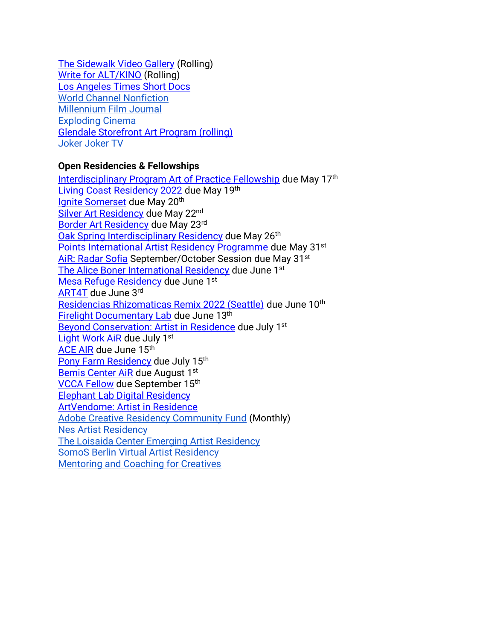[The Sidewalk Video Gallery](https://form.jotform.com/210044637766154) (Rolling) [Write for ALT/KINO](https://www.altkino.com/write-for-us) (Rolling) Los [Angeles Times Short Docs](https://www.latimes.com/about/short-docs/story/2022-01-05/short-docs-submission-form?fbclid=IwAR2kBZ4XtBO-Kw8HE5RHd_1iqA37uspVgOroBF77fLnm0pRAPsPFAE8l5Bs) [World Channel Nonfiction](https://worldchannel.org/submit/filmmaker/) [Millennium Film Journal](https://millenniumfilmjournal.com/submissions/) [Exploding Cinema](https://explodingcinema.org/2020/submit-film/) [Glendale Storefront Art Program \(rolling\)](https://www.glendaleca.gov/government/departments/library-arts-culture/arts-culture-commission/storefront-art-program-artist-application) [Joker Joker TV](http://jokerjokertv.com/submit/?fbclid=IwAR2sJ1ia0y_CTjVkhRp940ItD3O-6ZxbpUdzjq40jT_XcyMJUWPIlJil53Y)

### **Open Residencies & Fellowships**

[Interdisciplinary Program Art of](https://apply.sundance.org/prog/2022-2023_interdisciplinary_program_art_of_practice_fellowship/) Practice Fellowship due May 17<sup>th</sup> [Living Coast Residency 2022](https://www.fabrica.org.uk/the-living-coast-open-call-2022?mc_cid=2701a4901a&mc_eid=5218f78afc) due May 19th [Ignite Somerset](https://www.somersetfilm.com/community) due May 20th [Silver Art Residency](https://www.silverart.com/apply/) due May 22<sup>nd</sup> [Border Art Residency](https://www.borderartresidency.com/apply-1) due May 23rd [Oak Spring Interdisciplinary Residency](https://www.osgf.org/residencies/interdisciplinary-residency) due May 26<sup>th</sup> [Points International Artist Residency Programme](https://www.troyhouseart.org/open-call-2022?fbclid=IwAR1mHp8FeOj55F1VIeF2oDnSXoBdPed_FKT9nZJ74XHdLdxy0C6lAP98r94) due May 31<sup>st</sup> [AiR: Radar Sofia](https://docs.google.com/forms/d/e/1FAIpQLSf3qPaqHZHPb_gtNiqOkhXMEub-5HUeUZhfUF7nD1I5ZX8ouA/viewform?fbclid=IwAR11PCb9g-q0OXE8cqxjJiFZmeUIb-F_jzAnSQTPbdOiSz8xqd7BtKpQ9Eg) September/October Session due May 31<sup>st</sup> [The Alice Boner International Residency](https://www.goethe.de/ins/in/en/kul/art/aus/abr.html?fbclid=IwAR15k5OR8nJCSLKwM1D4GF6NLzt8TRx5kI7PvG8T6I55PZ1cc87gOi2qJW4) due June 1<sup>st</sup> [Mesa Refuge Residency](https://mesarefuge.org/residencies/application/) due June 1st [ART4T](https://www.associazionemeno.org/art4t-the-call-for-artists/) due June 3rd [Residencias Rhizomaticas Remix 2022 \(Seattle\)](https://docs.google.com/forms/d/e/1FAIpQLSdW0ytHbzN5Qp1rgIYfPTCI_r6iLD8ogABA1HpQXC1N97cwyg/viewform) due June 10th [Firelight Documentary Lab](https://www.firelightmedia.tv/programs/documentary-lab) due June 13th [Beyond Conservation: Artist in Residence](https://www.studioverdeair.com/applyperu) due July 1st [Light Work AiR](https://lightwork.slideroom.com/#/login/program/61227) due July 1st [ACE AIR](https://altacommunity.org/artist-in-residence) due June 15th [Pony Farm Residency](https://www.theponyfarm.com/open-call) due July 15th [Bemis Center AiR](https://bemis.slideroom.com/#/login) due August 1<sup>st</sup> [VCCA Fellow](https://www.vcca.com/apply/) due September 15th [Elephant Lab Digital Residency](https://elephant.art/lab/) [ArtVendome: Artist in Residence](https://www.vendomehotel.com/artvendome) [Adobe Creative Residency Community Fund](https://adobe.smapply.io/prog/adobe_creative_residency_community_fund_/) (Monthly) [Nes Artist Residency](https://docs.google.com/forms/d/e/1FAIpQLSfbokgQ5Jq5ZYa9y87lK9xq7n0yOJq8flXXNTNovTf2MRYg1w/viewform?formkey=dGM1OUN1R2xwYWl6eDgzZXJmU2YtVEE6MQ) [The Loisaida Center Emerging Artist Residency](https://docs.google.com/forms/d/e/1FAIpQLSdlETDquK-aDjonTcv-93WfUch04Bt0PLLYply6JxsmDzOfeA/viewform) [SomoS Berlin Virtual Artist Residency](https://www.somos-arts.org/somos-berlin-virtual-artist-residency/?fbclid=IwAR3hGjPBwOPyqSVfwDXjZx30jYu0cAD7YoPoXntyJXMapUVrRRHkIm9pbyQ) Mentoring and [Coaching for Creatives](https://www.artistmentor.co.uk/registration-and-booking/)